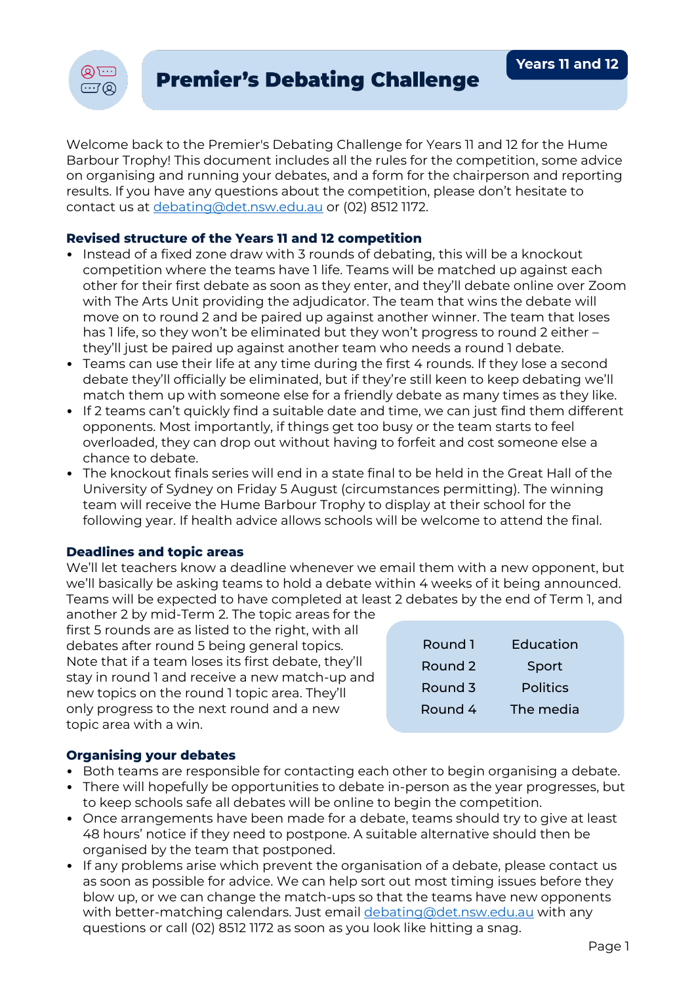

Welcome back to the Premier's Debating Challenge for Years 11 and 12 for the Hume Barbour Trophy! This document includes all the rules for the competition, some advice on organising and running your debates, and a form for the chairperson and reporting results. If you have any questions about the competition, please don't hesitate to contact us at [debating@det.nsw.edu.au](mailto:debating@det.nsw.edu.au) or (02) 8512 1172.

## **Revised structure of the Years 11 and 12 competition**

- Instead of a fixed zone draw with 3 rounds of debating, this will be a knockout competition where the teams have 1 life. Teams will be matched up against each other for their first debate as soon as they enter, and they'll debate online over Zoom with The Arts Unit providing the adjudicator. The team that wins the debate will move on to round 2 and be paired up against another winner. The team that loses has 1 life, so they won't be eliminated but they won't progress to round 2 either – they'll just be paired up against another team who needs a round 1 debate.
- Teams can use their life at any time during the first 4 rounds. If they lose a second debate they'll officially be eliminated, but if they're still keen to keep debating we'll match them up with someone else for a friendly debate as many times as they like.
- If 2 teams can't quickly find a suitable date and time, we can just find them different opponents. Most importantly, if things get too busy or the team starts to feel overloaded, they can drop out without having to forfeit and cost someone else a chance to debate.
- The knockout finals series will end in a state final to be held in the Great Hall of the University of Sydney on Friday 5 August (circumstances permitting). The winning team will receive the Hume Barbour Trophy to display at their school for the following year. If health advice allows schools will be welcome to attend the final.

### **Deadlines and topic areas**

We'll let teachers know a deadline whenever we email them with a new opponent, but we'll basically be asking teams to hold a debate within 4 weeks of it being announced. Teams will be expected to have completed at least 2 debates by the end of Term 1, and

another 2 by mid-Term 2. The topic areas for the first 5 rounds are as listed to the right, with all debates after round 5 being general topics. Note that if a team loses its first debate, they'll stay in round 1 and receive a new match-up and new topics on the round 1 topic area. They'll only progress to the next round and a new topic area with a win.

| Round 1 | <b>Education</b> |  |
|---------|------------------|--|
| Round 2 | Sport            |  |
| Round 3 | <b>Politics</b>  |  |
| Round 4 | The media        |  |
|         |                  |  |

### **Organising your debates**

- Both teams are responsible for contacting each other to begin organising a debate.
- There will hopefully be opportunities to debate in-person as the year progresses, but to keep schools safe all debates will be online to begin the competition.
- Once arrangements have been made for a debate, teams should try to give at least 48 hours' notice if they need to postpone. A suitable alternative should then be organised by the team that postponed.
- If any problems arise which prevent the organisation of a debate, please contact us as soon as possible for advice. We can help sort out most timing issues before they blow up, or we can change the match-ups so that the teams have new opponents with better-matching calendars. Just email [debating@det.nsw.edu.au](mailto:debating@det.nsw.edu.au) with any questions or call (02) 8512 1172 as soon as you look like hitting a snag.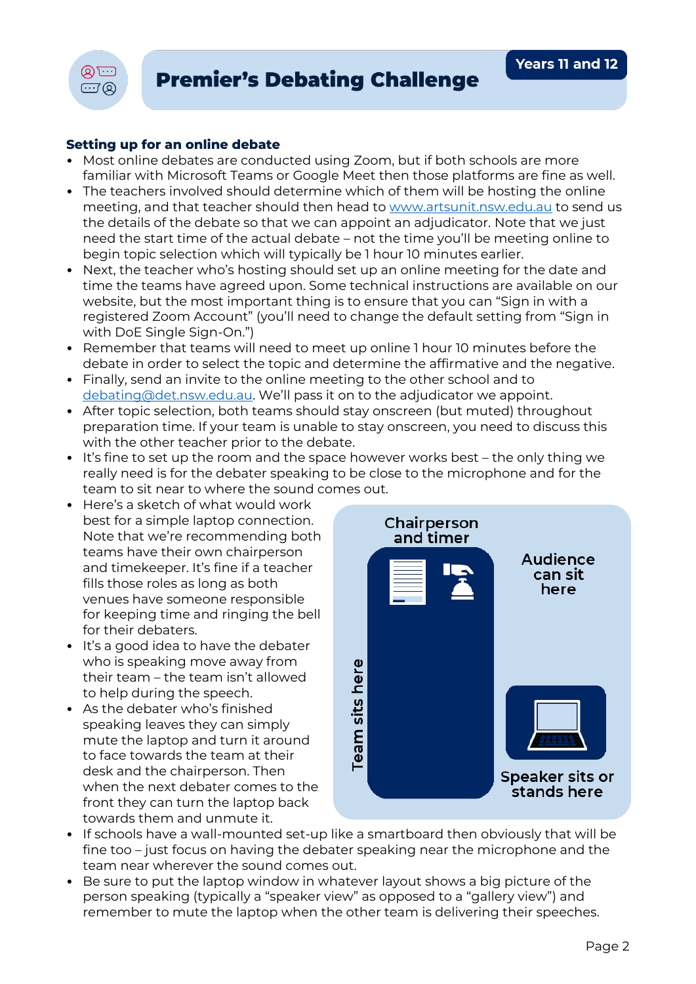

## **Setting up for an online debate**

- Most online debates are conducted using Zoom, but if both schools are more familiar with Microsoft Teams or Google Meet then those platforms are fine as well.
- The teachers involved should determine which of them will be hosting the online meeting, and that teacher should then head to [www.artsunit.nsw.edu.au](https://www.artsunit.nsw.edu.au/form/online-adjudicator-booking-form) to send us the details of the debate so that we can appoint an adjudicator. Note that we just need the start time of the actual debate – not the time you'll be meeting online to begin topic selection which will typically be 1 hour 10 minutes earlier.
- Next, the teacher who's hosting should set up an online meeting for the date and time the teams have agreed upon. Some technical instructions are available on our website, but the most important thing is to ensure that you can "Sign in with a registered Zoom Account" (you'll need to change the default setting from "Sign in with DoE Single Sign-On.")
- Remember that teams will need to meet up online 1 hour 10 minutes before the debate in order to select the topic and determine the affirmative and the negative.
- Finally, send an invite to the online meeting to the other school and to [debating@det.nsw.edu.au](mailto:debating@det.nsw.edu.au). We'll pass it on to the adjudicator we appoint.
- After topic selection, both teams should stay onscreen (but muted) throughout preparation time. If your team is unable to stay onscreen, you need to discuss this with the other teacher prior to the debate.
- It's fine to set up the room and the space however works best the only thing we really need is for the debater speaking to be close to the microphone and for the team to sit near to where the sound comes out.
- Here's a sketch of what would work best for a simple laptop connection. Note that we're recommending both teams have their own chairperson and timekeeper. It's fine if a teacher fills those roles as long as both venues have someone responsible for keeping time and ringing the bell for their debaters.
- It's a good idea to have the debater who is speaking move away from their team – the team isn't allowed to help during the speech.
- As the debater who's finished speaking leaves they can simply mute the laptop and turn it around to face towards the team at their desk and the chairperson. Then when the next debater comes to the front they can turn the laptop back towards them and unmute it.



- If schools have a wall-mounted set-up like a smartboard then obviously that will be fine too – just focus on having the debater speaking near the microphone and the team near wherever the sound comes out.
- Be sure to put the laptop window in whatever layout shows a big picture of the person speaking (typically a "speaker view" as opposed to a "gallery view") and remember to mute the laptop when the other team is delivering their speeches.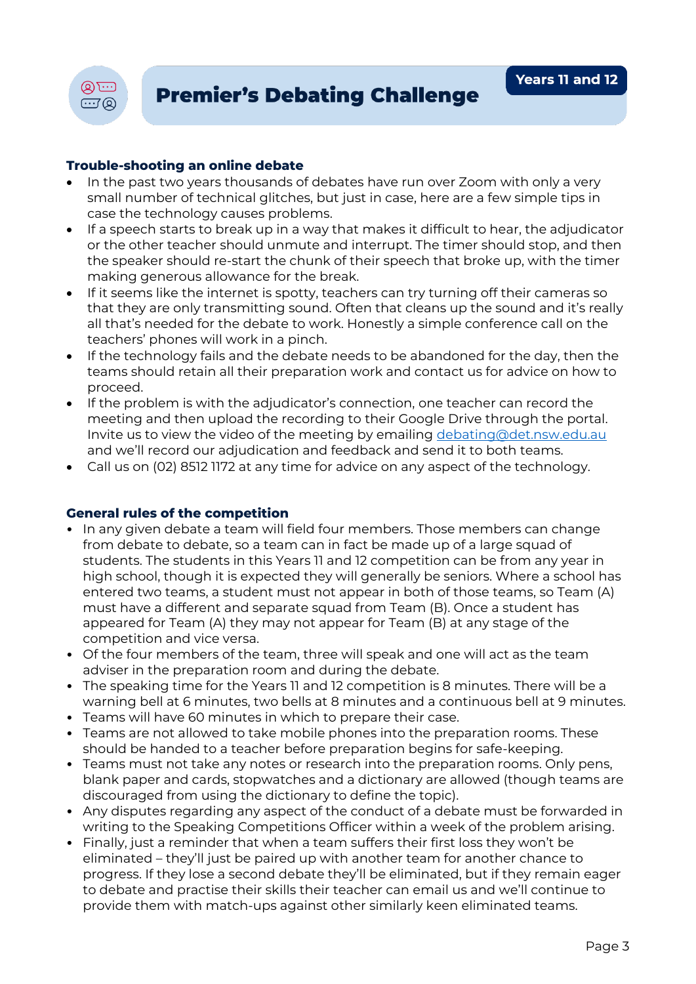

## **Trouble-shooting an online debate**

- In the past two years thousands of debates have run over Zoom with only a very small number of technical glitches, but just in case, here are a few simple tips in case the technology causes problems.
- If a speech starts to break up in a way that makes it difficult to hear, the adjudicator or the other teacher should unmute and interrupt. The timer should stop, and then the speaker should re-start the chunk of their speech that broke up, with the timer making generous allowance for the break.
- If it seems like the internet is spotty, teachers can try turning off their cameras so that they are only transmitting sound. Often that cleans up the sound and it's really all that's needed for the debate to work. Honestly a simple conference call on the teachers' phones will work in a pinch.
- If the technology fails and the debate needs to be abandoned for the day, then the teams should retain all their preparation work and contact us for advice on how to proceed.
- If the problem is with the adjudicator's connection, one teacher can record the meeting and then upload the recording to their Google Drive through the portal. Invite us to view the video of the meeting by emailing [debating@det.nsw.edu.au](mailto:debating@det.nsw.edu.au) and we'll record our adjudication and feedback and send it to both teams.
- Call us on (02) 8512 1172 at any time for advice on any aspect of the technology.

### **General rules of the competition**

- In any given debate a team will field four members. Those members can change from debate to debate, so a team can in fact be made up of a large squad of students. The students in this Years 11 and 12 competition can be from any year in high school, though it is expected they will generally be seniors. Where a school has entered two teams, a student must not appear in both of those teams, so Team (A) must have a different and separate squad from Team (B). Once a student has appeared for Team (A) they may not appear for Team (B) at any stage of the competition and vice versa.
- Of the four members of the team, three will speak and one will act as the team adviser in the preparation room and during the debate.
- The speaking time for the Years 11 and 12 competition is 8 minutes. There will be a warning bell at 6 minutes, two bells at 8 minutes and a continuous bell at 9 minutes.
- Teams will have 60 minutes in which to prepare their case.
- Teams are not allowed to take mobile phones into the preparation rooms. These should be handed to a teacher before preparation begins for safe-keeping.
- Teams must not take any notes or research into the preparation rooms. Only pens, blank paper and cards, stopwatches and a dictionary are allowed (though teams are discouraged from using the dictionary to define the topic).
- Any disputes regarding any aspect of the conduct of a debate must be forwarded in writing to the Speaking Competitions Officer within a week of the problem arising.
- Finally, just a reminder that when a team suffers their first loss they won't be eliminated – they'll just be paired up with another team for another chance to progress. If they lose a second debate they'll be eliminated, but if they remain eager to debate and practise their skills their teacher can email us and we'll continue to provide them with match-ups against other similarly keen eliminated teams.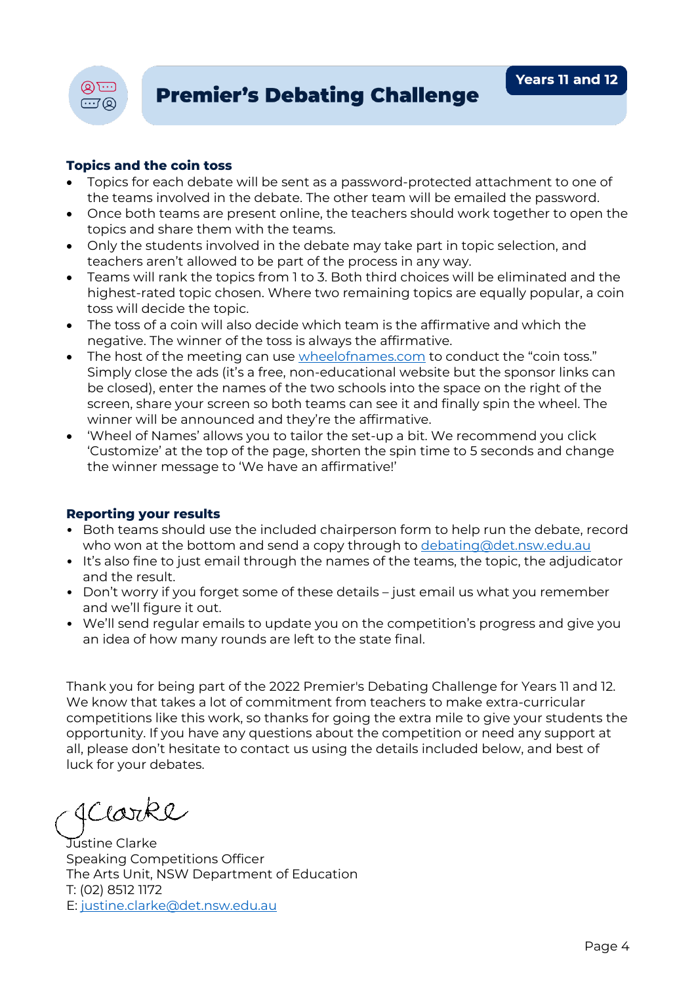



# **Topics and the coin toss**

- Topics for each debate will be sent as a password-protected attachment to one of the teams involved in the debate. The other team will be emailed the password.
- Once both teams are present online, the teachers should work together to open the topics and share them with the teams.
- Only the students involved in the debate may take part in topic selection, and teachers aren't allowed to be part of the process in any way.
- Teams will rank the topics from 1 to 3. Both third choices will be eliminated and the highest-rated topic chosen. Where two remaining topics are equally popular, a coin toss will decide the topic.
- The toss of a coin will also decide which team is the affirmative and which the negative. The winner of the toss is always the affirmative.
- The host of the meeting can use [wheelofnames.com](https://wheelofnames.com/) to conduct the "coin toss." Simply close the ads (it's a free, non-educational website but the sponsor links can be closed), enter the names of the two schools into the space on the right of the screen, share your screen so both teams can see it and finally spin the wheel. The winner will be announced and they're the affirmative.
- 'Wheel of Names' allows you to tailor the set-up a bit. We recommend you click 'Customize' at the top of the page, shorten the spin time to 5 seconds and change the winner message to 'We have an affirmative!'

### **Reporting your results**

- Both teams should use the included chairperson form to help run the debate, record who won at the bottom and send a copy through to [debating@det.nsw.edu.au](mailto:debating@det.nsw.edu.au)
- It's also fine to just email through the names of the teams, the topic, the adjudicator and the result.
- Don't worry if you forget some of these details just email us what you remember and we'll figure it out.
- We'll send regular emails to update you on the competition's progress and give you an idea of how many rounds are left to the state final.

Thank you for being part of the 2022 Premier's Debating Challenge for Years 11 and 12. We know that takes a lot of commitment from teachers to make extra-curricular competitions like this work, so thanks for going the extra mile to give your students the opportunity. If you have any questions about the competition or need any support at all, please don't hesitate to contact us using the details included below, and best of luck for your debates.

Iclarke

Justine Clarke Speaking Competitions Officer The Arts Unit, NSW Department of Education T: (02) 8512 1172 E: [justine.clarke@det.nsw.edu.au](mailto:justine.clarke@det.nsw.edu.au)